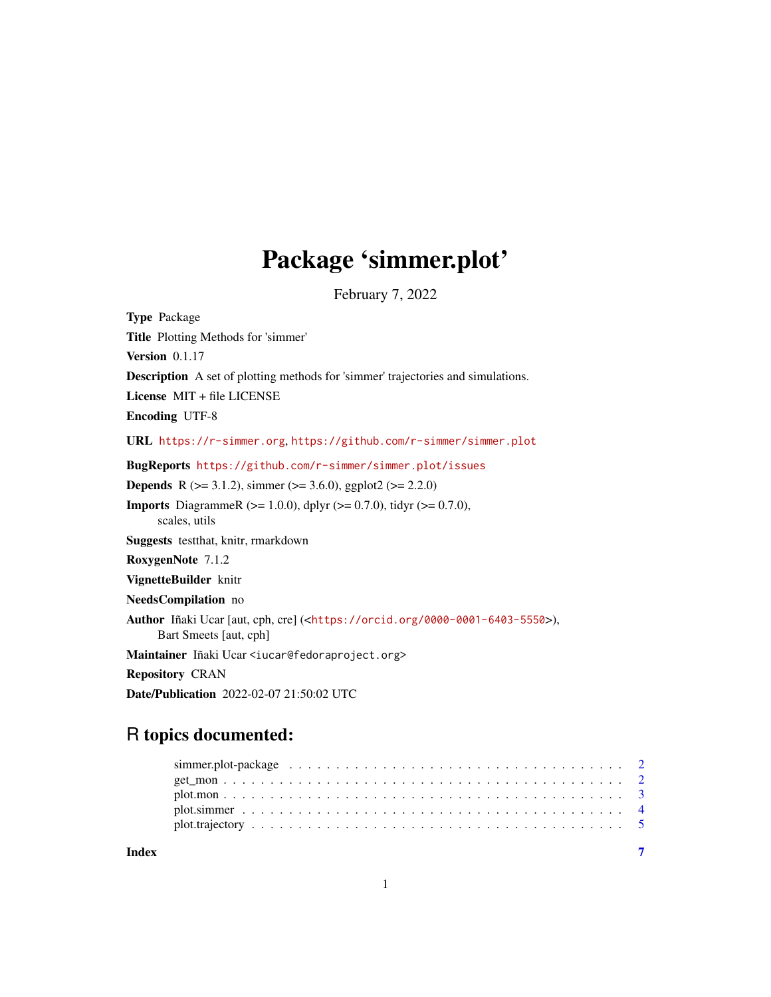## Package 'simmer.plot'

February 7, 2022

<span id="page-0-0"></span>Type Package Title Plotting Methods for 'simmer' Version 0.1.17 Description A set of plotting methods for 'simmer' trajectories and simulations. License MIT + file LICENSE Encoding UTF-8 URL <https://r-simmer.org>, <https://github.com/r-simmer/simmer.plot> BugReports <https://github.com/r-simmer/simmer.plot/issues> **Depends** R ( $>= 3.1.2$ ), simmer ( $>= 3.6.0$ ), ggplot2 ( $>= 2.2.0$ ) **Imports** DiagrammeR ( $>= 1.0.0$ ), dplyr ( $>= 0.7.0$ ), tidyr ( $>= 0.7.0$ ), scales, utils Suggests testthat, knitr, rmarkdown RoxygenNote 7.1.2 VignetteBuilder knitr NeedsCompilation no Author Iñaki Ucar [aut, cph, cre] (<<https://orcid.org/0000-0001-6403-5550>>), Bart Smeets [aut, cph] Maintainer Iñaki Ucar <iucar@fedoraproject.org> Repository CRAN Date/Publication 2022-02-07 21:50:02 UTC

## R topics documented:

| Index |  |
|-------|--|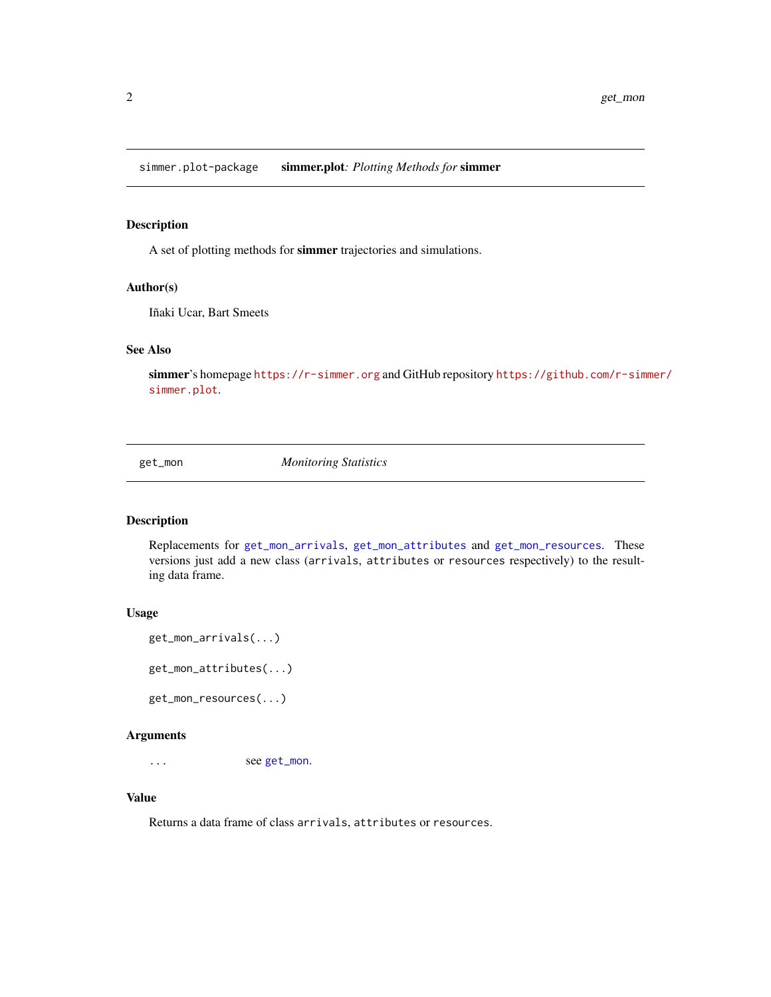<span id="page-1-0"></span>simmer.plot-package simmer.plot*: Plotting Methods for* simmer

#### Description

A set of plotting methods for simmer trajectories and simulations.

#### Author(s)

Iñaki Ucar, Bart Smeets

#### See Also

simmer's homepage <https://r-simmer.org> and GitHub repository [https://github.com/r-sim](https://github.com/r-simmer/simmer.plot)mer/ [simmer.plot](https://github.com/r-simmer/simmer.plot).

<span id="page-1-2"></span>get\_mon *Monitoring Statistics*

#### <span id="page-1-1"></span>Description

Replacements for [get\\_mon\\_arrivals](#page-1-1), [get\\_mon\\_attributes](#page-1-1) and [get\\_mon\\_resources](#page-1-1). These versions just add a new class (arrivals, attributes or resources respectively) to the resulting data frame.

#### Usage

```
get_mon_arrivals(...)
get_mon_attributes(...)
get_mon_resources(...)
```
#### Arguments

... see [get\\_mon](#page-1-2).

#### Value

Returns a data frame of class arrivals, attributes or resources.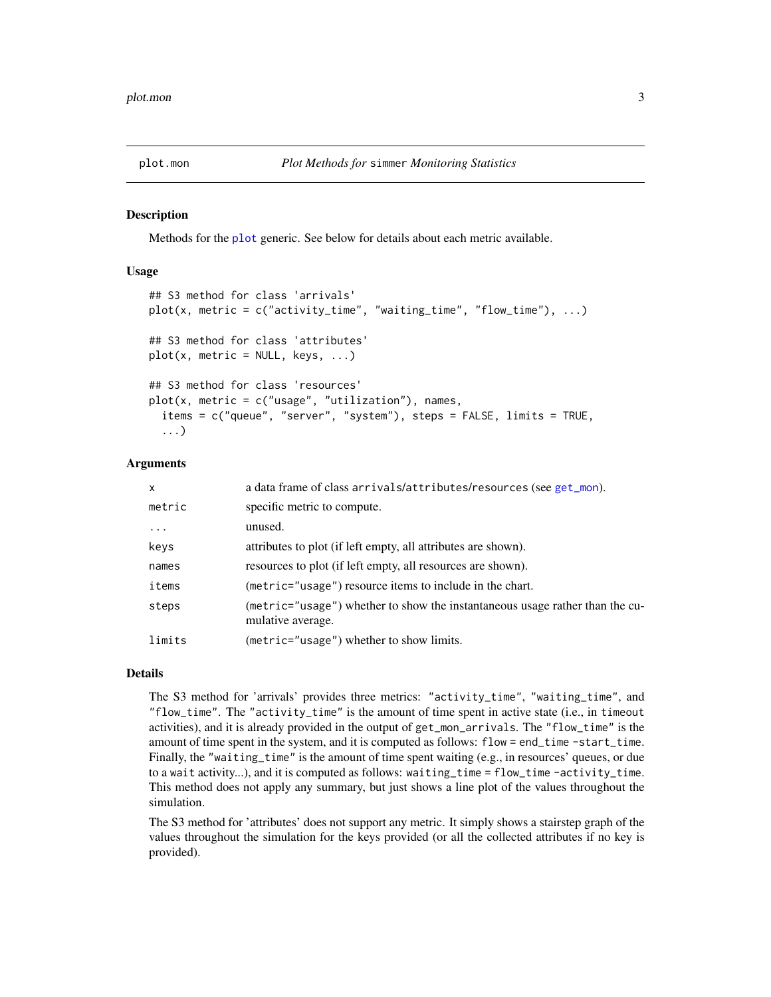<span id="page-2-1"></span><span id="page-2-0"></span>

#### Description

Methods for the [plot](#page-0-0) generic. See below for details about each metric available.

#### Usage

```
## S3 method for class 'arrivals'
plot(x, metric = c("activity_time", "waiting_time", "flow_time"), ...)
## S3 method for class 'attributes'
plot(x, metric = NULL, keys, ...)## S3 method for class 'resources'
plot(x, metric = c("usage", "utilization"), names,items = c("queue", "server", "system"), steps = FALSE, limits = TRUE,
  ...)
```
#### Arguments

| $\mathsf{x}$ | a data frame of class arrivals/attributes/resources (see get_mon).                                |
|--------------|---------------------------------------------------------------------------------------------------|
| metric       | specific metric to compute.                                                                       |
| $\cdots$     | unused.                                                                                           |
| keys         | attributes to plot (if left empty, all attributes are shown).                                     |
| names        | resources to plot (if left empty, all resources are shown).                                       |
| items        | (metric="usage") resource items to include in the chart.                                          |
| steps        | (metric="usage") whether to show the instantaneous usage rather than the cu-<br>mulative average. |
| limits       | (metric="usage") whether to show limits.                                                          |

#### Details

The S3 method for 'arrivals' provides three metrics: "activity\_time", "waiting\_time", and "flow\_time". The "activity\_time" is the amount of time spent in active state (i.e., in timeout activities), and it is already provided in the output of get\_mon\_arrivals. The "flow\_time" is the amount of time spent in the system, and it is computed as follows: flow = end\_time -start\_time. Finally, the "waiting\_time" is the amount of time spent waiting (e.g., in resources' queues, or due to a wait activity...), and it is computed as follows: waiting\_time = flow\_time -activity\_time. This method does not apply any summary, but just shows a line plot of the values throughout the simulation.

The S3 method for 'attributes' does not support any metric. It simply shows a stairstep graph of the values throughout the simulation for the keys provided (or all the collected attributes if no key is provided).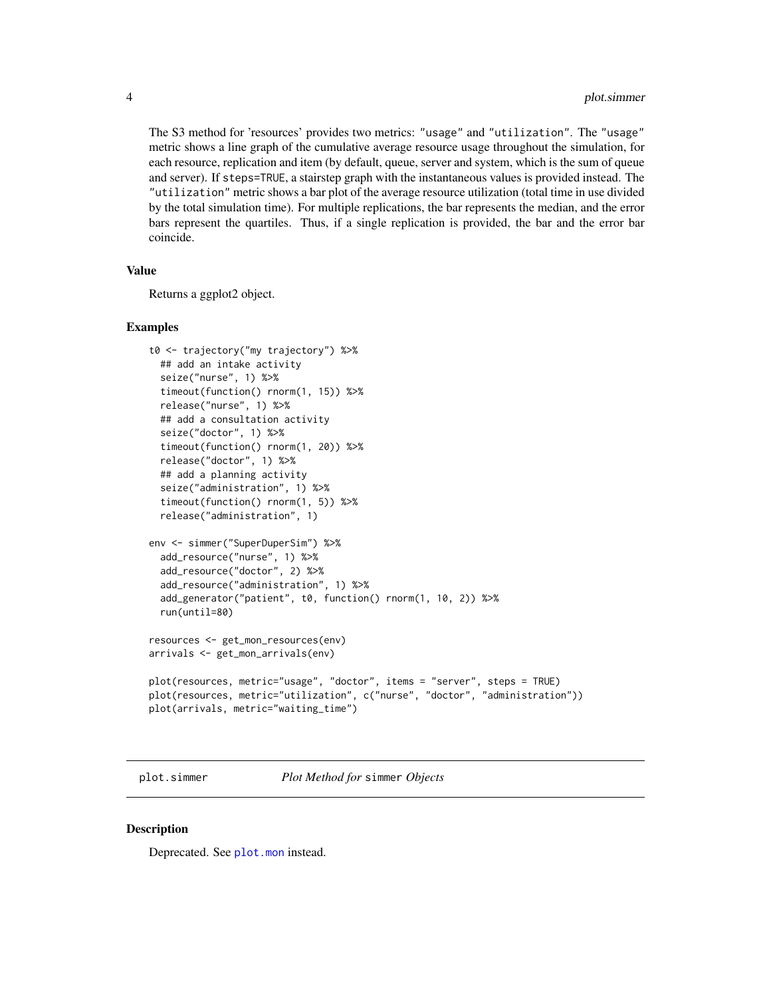<span id="page-3-0"></span>The S3 method for 'resources' provides two metrics: "usage" and "utilization". The "usage" metric shows a line graph of the cumulative average resource usage throughout the simulation, for each resource, replication and item (by default, queue, server and system, which is the sum of queue and server). If steps=TRUE, a stairstep graph with the instantaneous values is provided instead. The "utilization" metric shows a bar plot of the average resource utilization (total time in use divided by the total simulation time). For multiple replications, the bar represents the median, and the error bars represent the quartiles. Thus, if a single replication is provided, the bar and the error bar coincide.

#### Value

Returns a ggplot2 object.

#### Examples

```
t0 <- trajectory("my trajectory") %>%
 ## add an intake activity
 seize("nurse", 1) %>%
 timeout(function() rnorm(1, 15)) %>%
 release("nurse", 1) %>%
 ## add a consultation activity
 seize("doctor", 1) %>%
 timeout(function() rnorm(1, 20)) %>%
 release("doctor", 1) %>%
 ## add a planning activity
 seize("administration", 1) %>%
 timeout(function() rnorm(1, 5)) %>%
 release("administration", 1)
env <- simmer("SuperDuperSim") %>%
 add_resource("nurse", 1) %>%
 add_resource("doctor", 2) %>%
 add_resource("administration", 1) %>%
 add_generator("patient", t0, function() rnorm(1, 10, 2)) %>%
 run(until=80)
resources <- get_mon_resources(env)
arrivals <- get_mon_arrivals(env)
plot(resources, metric="usage", "doctor", items = "server", steps = TRUE)
plot(resources, metric="utilization", c("nurse", "doctor", "administration"))
plot(arrivals, metric="waiting_time")
```
plot.simmer *Plot Method for* simmer *Objects*

#### **Description**

Deprecated. See [plot.mon](#page-2-1) instead.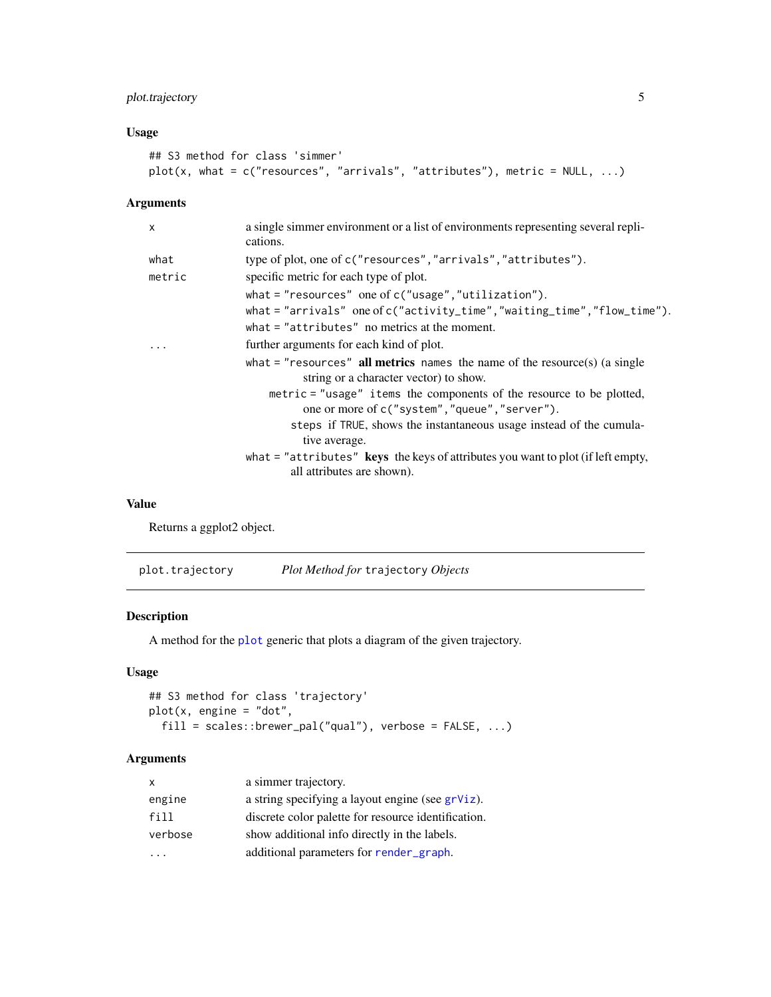## <span id="page-4-0"></span>plot.trajectory 5

#### Usage

```
## S3 method for class 'simmer'
plot(x, what = c("resources", "arrivals", "attributes"), metric = NULL, ...)
```
#### Arguments

| $\mathsf{x}$ | a single simmer environment or a list of environments representing several repli-<br>cations.                          |
|--------------|------------------------------------------------------------------------------------------------------------------------|
| what         | type of plot, one of c("resources", "arrivals", "attributes").                                                         |
| metric       | specific metric for each type of plot.                                                                                 |
|              | what $=$ "resources" one of $c$ ("usage", "utilization").                                                              |
|              | what = "arrivals" one of c("activity_time","waiting_time","flow_time").                                                |
|              | what $=$ "attributes" no metrics at the moment.                                                                        |
|              | further arguments for each kind of plot.                                                                               |
|              | what $=$ "resources" all metrics names the name of the resource(s) (a single<br>string or a character vector) to show. |
|              | metric = "usage" items the components of the resource to be plotted,<br>one or more of c("system", "queue", "server"). |
|              | steps if TRUE, shows the instantaneous usage instead of the cumula-<br>tive average.                                   |
|              | what $=$ "attributes" keys the keys of attributes you want to plot (if left empty,<br>all attributes are shown).       |

#### Value

Returns a ggplot2 object.

| plot.trajectory | <i>Plot Method for trajectory Objects</i> |
|-----------------|-------------------------------------------|
|                 |                                           |

## Description

A method for the [plot](#page-0-0) generic that plots a diagram of the given trajectory.

## Usage

```
## S3 method for class 'trajectory'
plot(x, engine = "dot",
  fill = scales::brewer\_pal("qual"), verbose = FALSE, ...)
```
#### Arguments

| $\mathsf{x}$ | a simmer trajectory.                                |
|--------------|-----------------------------------------------------|
| engine       | a string specifying a layout engine (see $grViz$ ). |
| fill         | discrete color palette for resource identification. |
| verbose      | show additional info directly in the labels.        |
|              | additional parameters for render_graph.             |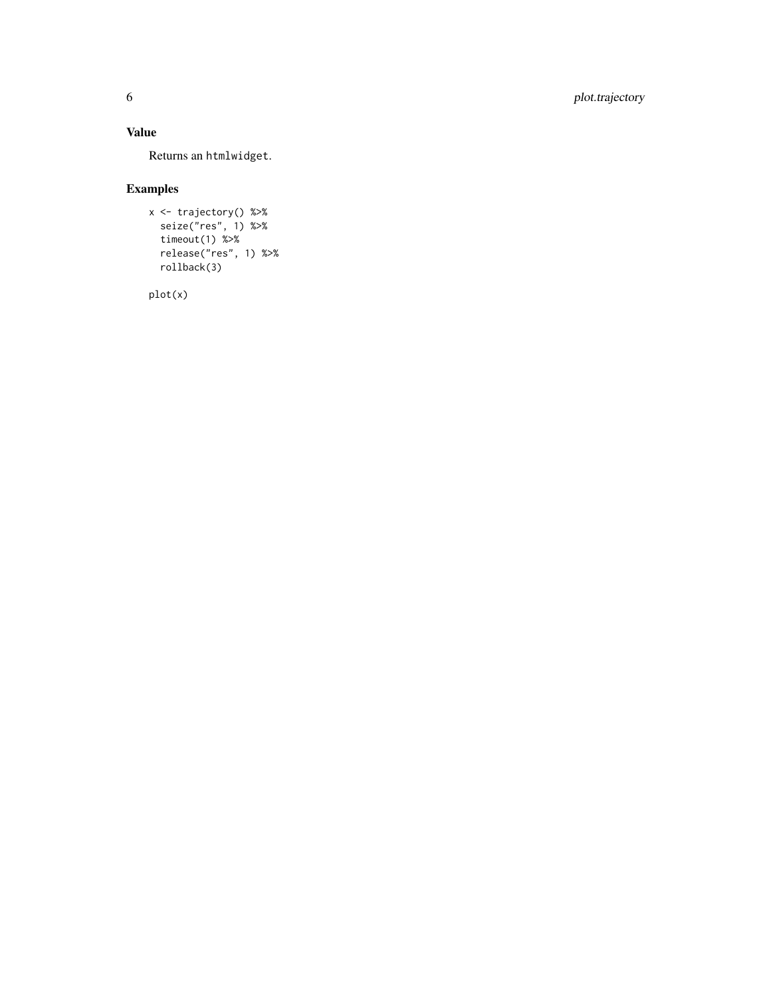## 6 plot.trajectory

## Value

Returns an htmlwidget .

## Examples

```
x <- trajectory() %>%
  seize("res", 1) %>%
  timeout(1) %>%
  release("res", 1) %>%
  rollback(3)
```
plot(x)